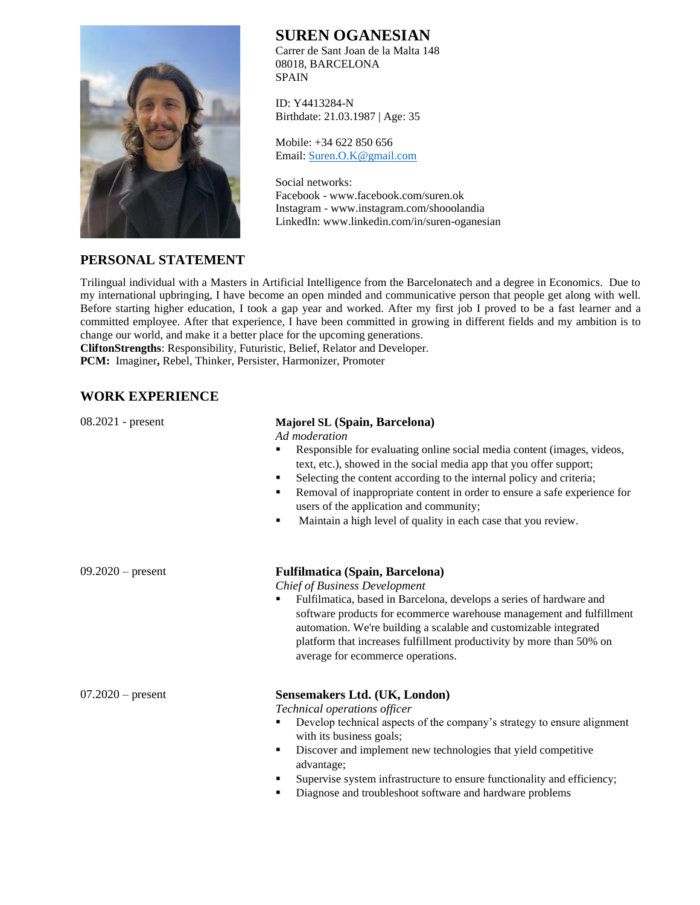

# **SUREN OGANESIAN**

Carrer de Sant Joan de la Malta 148 08018, BARCELONA **SPAIN** 

ID: Y4413284-N Birthdate: 21.03.1987 | Age: 35

Mobile: +34 622 850 656 Email: [Suren.O.K@gmail.com](mailto:Suren.O.K@gmail.com)

Social networks: Facebook - www.facebook.com/suren.ok Instagram - www.instagram.com/shooolandia LinkedIn: www.linkedin.com/in/suren-oganesian

## **PERSONAL STATEMENT**

Trilingual individual with a Masters in Artificial Intelligence from the Barcelonatech and a degree in Economics. Due to my international upbringing, I have become an open minded and communicative person that people get along with well. Before starting higher education, I took a gap year and worked. After my first job I proved to be a fast learner and a committed employee. After that experience, I have been committed in growing in different fields and my ambition is to change our world, and make it a better place for the upcoming generations.

**CliftonStrengths**: Responsibility, Futuristic, Belief, Relator and Developer. **PCM:** Imaginer**,** Rebel, Thinker, Persister, Harmonizer, Promoter

# **WORK EXPERIENCE**

#### 08.2021 - present **Majorel SL (Spain, Barcelona)**

*Ad moderation* 

- Responsible for evaluating online social media content (images, videos, text, etc.), showed in the social media app that you offer support;
- Selecting the content according to the internal policy and criteria;
- Removal of inappropriate content in order to ensure a safe experience for users of the application and community;
- Maintain a high level of quality in each case that you review.

#### 09.2020 – present **Fulfilmatica (Spain, Barcelona)**

*Chief of Business Development*

▪ Fulfilmatica, based in Barcelona, develops a series of hardware and software products for ecommerce warehouse management and fulfillment automation. We're building a scalable and customizable integrated platform that increases fulfillment productivity by more than 50% on average for ecommerce operations.

## 07.2020 – present **Sensemakers Ltd. (UK, London)**

*Technical operations officer*

- Develop technical aspects of the company's strategy to ensure alignment with its business goals;
- Discover and implement new technologies that yield competitive advantage;
- Supervise system infrastructure to ensure functionality and efficiency;
- Diagnose and troubleshoot software and hardware problems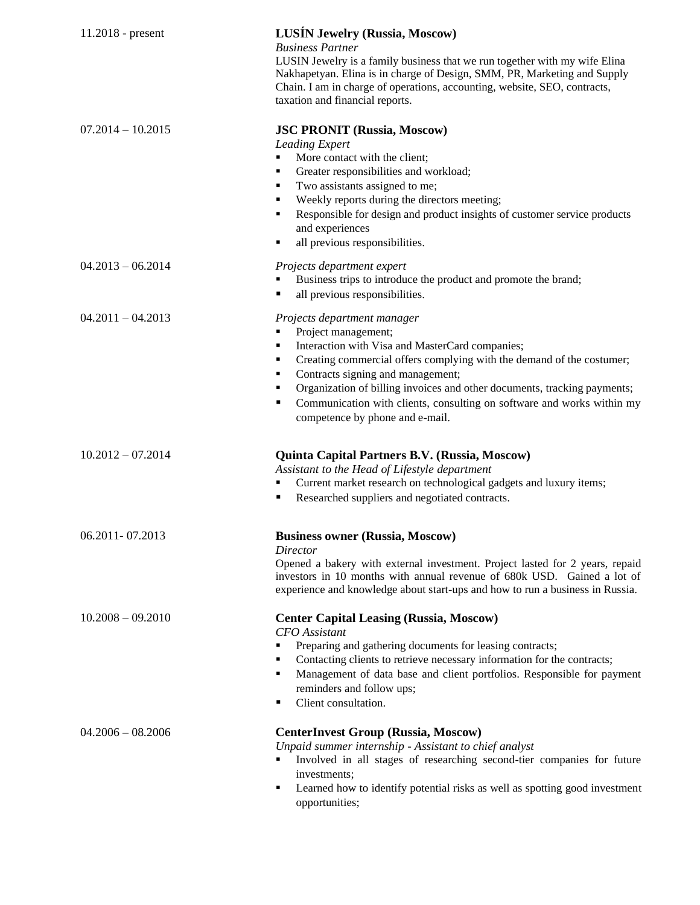| $11.2018$ - present | <b>LUSÍN Jewelry (Russia, Moscow)</b><br><b>Business Partner</b><br>LUSIN Jewelry is a family business that we run together with my wife Elina<br>Nakhapetyan. Elina is in charge of Design, SMM, PR, Marketing and Supply<br>Chain. I am in charge of operations, accounting, website, SEO, contracts,<br>taxation and financial reports.                                                                                       |
|---------------------|----------------------------------------------------------------------------------------------------------------------------------------------------------------------------------------------------------------------------------------------------------------------------------------------------------------------------------------------------------------------------------------------------------------------------------|
| $07.2014 - 10.2015$ | <b>JSC PRONIT (Russia, Moscow)</b><br>Leading Expert<br>More contact with the client;<br>Greater responsibilities and workload;<br>٠<br>Two assistants assigned to me;<br>٠<br>Weekly reports during the directors meeting;<br>٠<br>Responsible for design and product insights of customer service products<br>٠<br>and experiences<br>all previous responsibilities.<br>п                                                      |
| $04.2013 - 06.2014$ | Projects department expert<br>Business trips to introduce the product and promote the brand;<br>all previous responsibilities.<br>٠                                                                                                                                                                                                                                                                                              |
| $04.2011 - 04.2013$ | Projects department manager<br>Project management;<br>Interaction with Visa and MasterCard companies;<br>٠<br>Creating commercial offers complying with the demand of the costumer;<br>٠<br>Contracts signing and management;<br>٠<br>Organization of billing invoices and other documents, tracking payments;<br>п<br>Communication with clients, consulting on software and works within my<br>competence by phone and e-mail. |
| $10.2012 - 07.2014$ | <b>Quinta Capital Partners B.V. (Russia, Moscow)</b><br>Assistant to the Head of Lifestyle department<br>Current market research on technological gadgets and luxury items;<br>Researched suppliers and negotiated contracts.<br>п                                                                                                                                                                                               |
| 06.2011 - 07.2013   | <b>Business owner (Russia, Moscow)</b><br>Director<br>Opened a bakery with external investment. Project lasted for 2 years, repaid<br>investors in 10 months with annual revenue of 680k USD. Gained a lot of<br>experience and knowledge about start-ups and how to run a business in Russia.                                                                                                                                   |
| $10.2008 - 09.2010$ | <b>Center Capital Leasing (Russia, Moscow)</b><br><b>CFO</b> Assistant<br>Preparing and gathering documents for leasing contracts;<br>Contacting clients to retrieve necessary information for the contracts;<br>٠<br>Management of data base and client portfolios. Responsible for payment<br>٠<br>reminders and follow ups;<br>Client consultation.<br>٠                                                                      |
| $04.2006 - 08.2006$ | <b>CenterInvest Group (Russia, Moscow)</b><br>Unpaid summer internship - Assistant to chief analyst<br>Involved in all stages of researching second-tier companies for future<br>investments;<br>Learned how to identify potential risks as well as spotting good investment<br>٠<br>opportunities;                                                                                                                              |